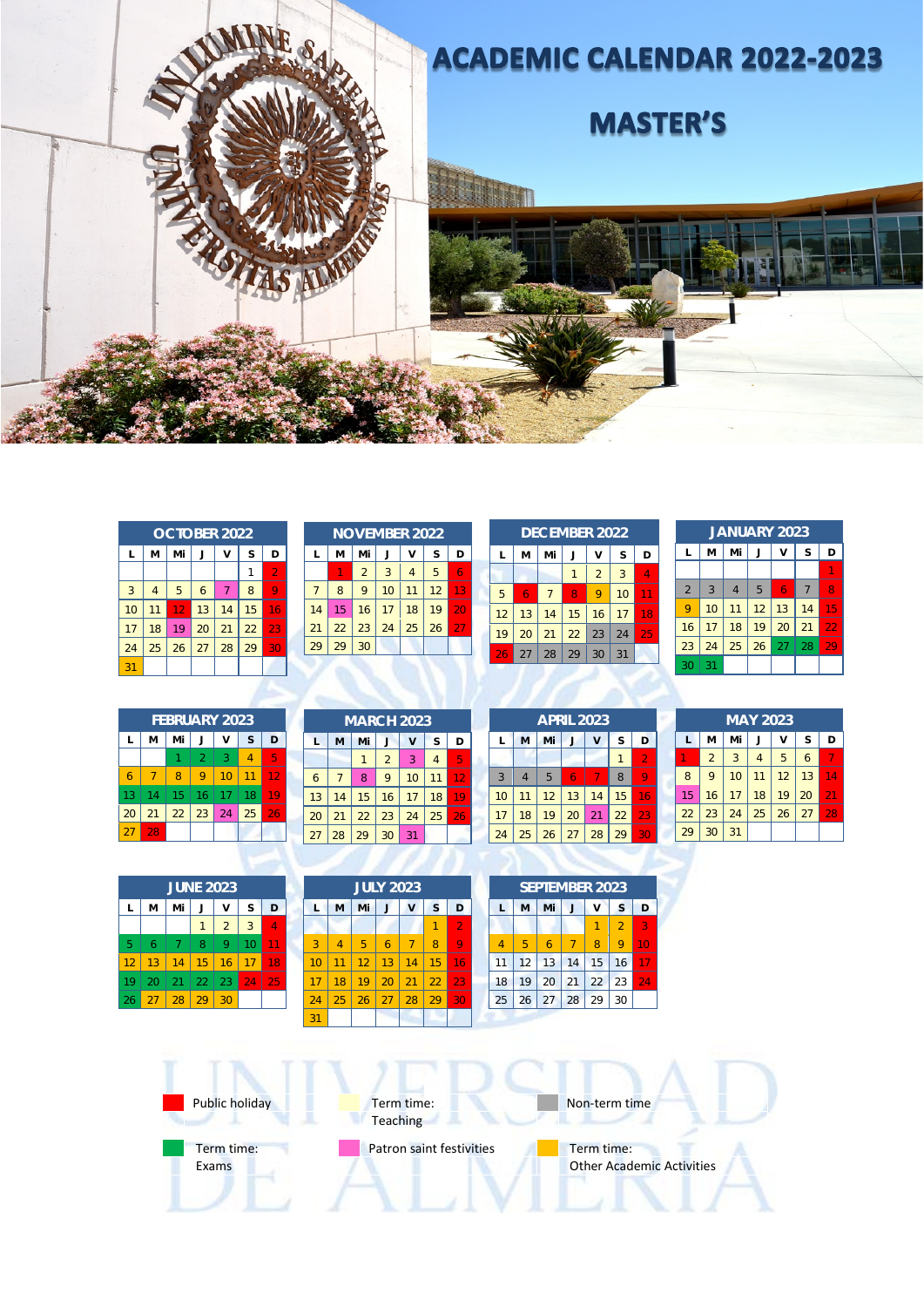

|    |                |    | <b>OCTOBER 2022</b> |    |    |                |
|----|----------------|----|---------------------|----|----|----------------|
| L  | M              | Mi | J                   | v  | S  | D              |
|    |                |    |                     |    | 1  | $\overline{2}$ |
| 3  | $\overline{4}$ | 5  | 6                   | 7  | 8  |                |
| 10 | 11             | 12 | 13                  | 14 | 15 | 16             |
| 17 | 18             | 19 | 20                  | 21 | 22 | 23             |
| 24 | 25             | 26 | 27                  | 28 | 29 | 30             |
| 31 |                |    |                     |    |    |                |

|    |    |                |    | <b>NOVEMBER 2022</b> |    |    |
|----|----|----------------|----|----------------------|----|----|
| L  | M  | Mi             |    | v                    | S  | D  |
|    |    | $\overline{2}$ | 3  | $\overline{4}$       | 5  | 6  |
| 7  | 8  | 9              | 10 | 11                   | 12 | 13 |
| 14 | 15 | 16             | 17 | 18                   | 19 | 20 |
| 21 | 22 | 23             | 24 | 25                   | 26 | 27 |
| 29 | 29 | 30             |    |                      |    |    |

|    |    |                | <b>DECEMBER 2022</b> |                |    |    |
|----|----|----------------|----------------------|----------------|----|----|
| L  | M  | Mi             |                      | v              | S  | D  |
|    |    |                |                      | $\overline{2}$ | 3  | 4  |
| 5  | 6  | $\overline{7}$ | 8                    | 9              | 10 |    |
| 12 | 13 | 14             | 15                   | 16             | 17 | 18 |
| 19 | 20 | 21             | 22                   | 23             | 24 | 25 |
| 26 | 27 | 28             | 29                   | 30             | 31 |    |

|                |    |                | <b>JANUARY 2023</b> |    |                |    |
|----------------|----|----------------|---------------------|----|----------------|----|
| L              | M  | Mi             | J                   | ٧  | S              | D  |
|                |    |                |                     |    |                |    |
| $\overline{2}$ | 3  | $\overline{4}$ | 5                   | 6  | $\overline{7}$ | 8  |
| 9              | 10 | 11             | 12                  | 13 | 14             | 15 |
| 16             | 17 | 18             | 19                  | 20 | 21             | 22 |
| 23             | 24 | 25             | 26                  | 27 | 28             | 29 |
| 30             | 31 |                |                     |    |                |    |

|    |    |    | <b>FEBRUARY 2023</b> |    |    |    |
|----|----|----|----------------------|----|----|----|
|    | M  | Mi |                      |    | S  | D  |
|    |    |    | $\mathcal{P}$        | 3  |    | 5  |
| 6  |    | 8  |                      | 10 |    | 12 |
| 13 | 14 | 15 | 16                   | 17 | 18 |    |
| 20 | 21 | 22 | 23                   | 24 | 25 | 26 |
|    | 28 |    |                      |    |    |    |

| M              | Mi | J              | V  | S              | D                 |
|----------------|----|----------------|----|----------------|-------------------|
|                |    | $\overline{2}$ | 3  | $\overline{4}$ | 5                 |
| $\overline{7}$ | 8  | 9              | 10 | 11             | 12                |
| 14             | 15 | 16             | 17 | 18             | 19                |
| 21             | 22 | 23             | 24 | 25             | 26                |
| 28             | 29 | 30             | 31 |                |                   |
|                |    |                |    |                | <b>MARCH 2023</b> |

|    |                |    |    | <b>APRIL 2023</b> |    |                |
|----|----------------|----|----|-------------------|----|----------------|
| L  | M              | Mi | J  | v                 | S  | D              |
|    |                |    |    |                   | 1  | $\overline{2}$ |
| 3  | $\overline{4}$ | 5  | 6  |                   | 8  |                |
| 10 | 11             | 12 | 13 | 14                | 15 | 16             |
| 17 | 18             | 19 | 20 | 21                | 22 | 23             |
| 24 | 25             | 26 | 27 | 28                | 29 | 30             |

|    |                |    | <b>MAY 2023</b> |    |    |    |
|----|----------------|----|-----------------|----|----|----|
| L  | м              | Mi | J               | v  | S  | D  |
|    | $\overline{2}$ | 3  | 4               | 5  | 6  | 7  |
| 8  | 9              | 10 | 11              | 12 | 13 | 14 |
| 15 | 16             | 17 | 18              | 19 | 20 | 21 |
| 22 | 23             | 24 | 25              | 26 | 27 | 28 |
| 29 | 30             | 31 |                 |    |    |    |

|    |                |    | <b>JUNE 2023</b> |                |    |    |
|----|----------------|----|------------------|----------------|----|----|
| L  | M              | Mi | J                | v              | S  | D  |
|    |                |    | 1                | $\overline{2}$ | 3  |    |
| 5  | $\overline{6}$ | -7 | 8                | 9              | 10 |    |
| 12 | 13             | 14 | 15               | 16             | 17 | 18 |
| 19 | 20             | 21 | 22               | 23             | 24 | 25 |
| 26 | 27             | 28 | 29               | 30             |    |    |

|    |    |    | <b>JULY 2023</b> |    |    |    |
|----|----|----|------------------|----|----|----|
| L  | M  | Mi | J                | ۷  | S  | D  |
|    |    |    |                  |    |    | 2  |
| 3  | 4  | 5  | 6                | 7  | 8  | 9  |
| 10 | 11 | 12 | 13               | 14 | 15 | 16 |
| 17 | 18 | 19 | 20               | 21 | 22 | 23 |
| 24 | 25 | 26 | 27               | 28 | 29 | 30 |
| 31 |    |    |                  |    |    |    |

|    |    |    |    | <b>SEPTEMBER 2023</b> |    |    |
|----|----|----|----|-----------------------|----|----|
| L  | M  | Mi |    | v                     | S  | D  |
|    |    |    |    |                       | 2  | 3  |
| 4  | 5  | 6  |    | 8                     | 9  | 10 |
| 11 | 12 | 13 | 14 | 15                    | 16 |    |
| 18 | 19 | 20 | 21 | 22                    | 23 | 24 |
| 25 | 26 | 27 | 28 | 29                    | 30 |    |

| Non-term time                                  |
|------------------------------------------------|
| Term time:<br><b>Other Academic Activities</b> |
|                                                |